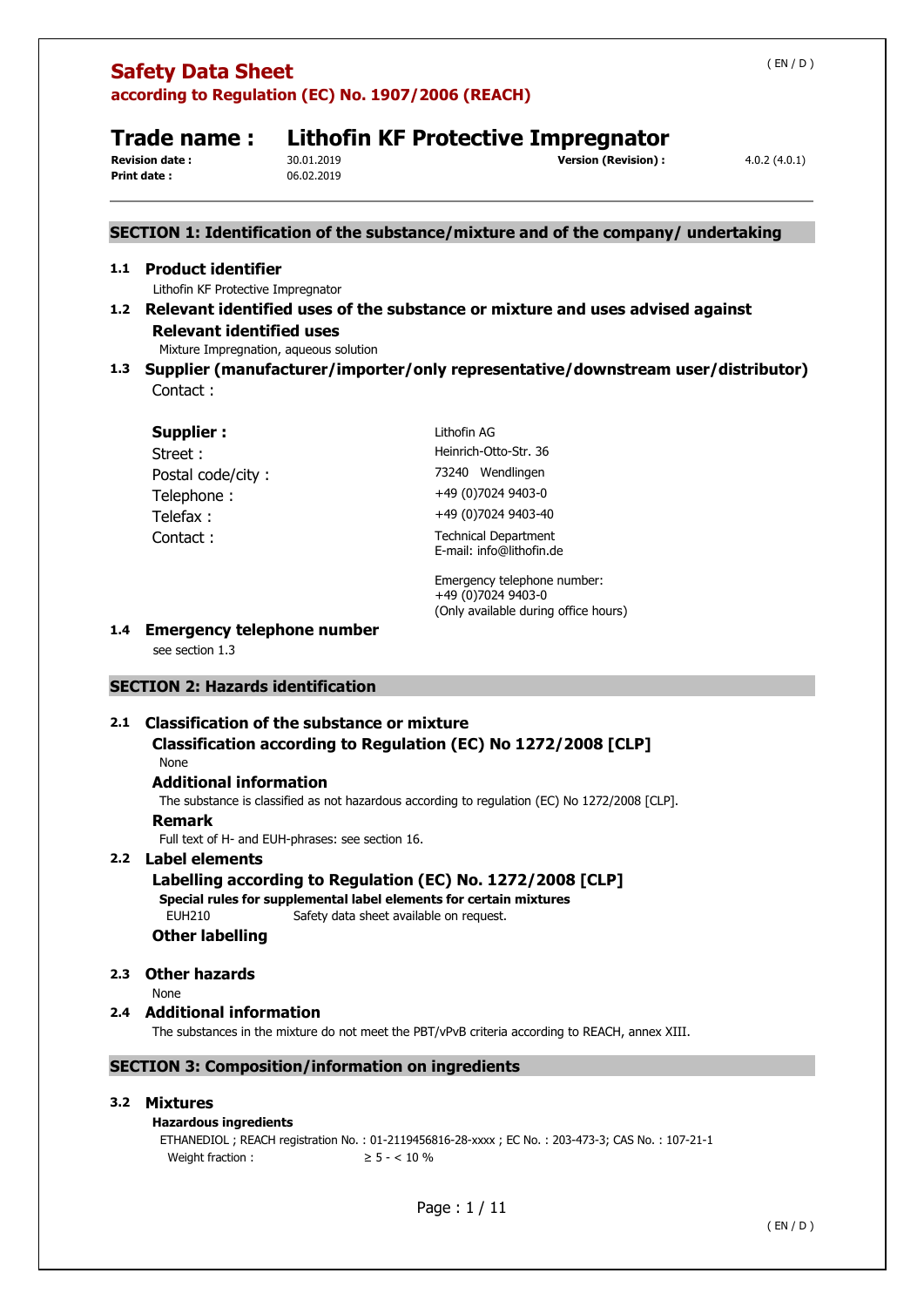**Print date :** 06.02.2019

# **Trade name : Lithofin KF Protective Impregnator**<br>**Revision date :** 30.01.2019<br> **Servision (Revision)** :

## **Revision (Revision) :**  $4.0.2 (4.0.1)$

## **SECTION 1: Identification of the substance/mixture and of the company/ undertaking**

## **1.1 Product identifier**

Lithofin KF Protective Impregnator

## **1.2 Relevant identified uses of the substance or mixture and uses advised against Relevant identified uses**

Mixture Impregnation, aqueous solution

**1.3 Supplier (manufacturer/importer/only representative/downstream user/distributor)**  Contact :

| <b>Supplier:</b>  | Lithofin AG                                             |
|-------------------|---------------------------------------------------------|
| Street:           | Heinrich-Otto-Str, 36                                   |
| Postal code/city: | 73240 Wendlingen                                        |
| Telephone:        | +49 (0)7024 9403-0                                      |
| Telefax:          | +49 (0)7024 9403-40                                     |
| Contact:          | <b>Technical Department</b><br>E-mail: info@lithofin.de |

Emergency telephone number: +49 (0)7024 9403-0 (Only available during office hours)

## **1.4 Emergency telephone number**

see section 1.3

## **SECTION 2: Hazards identification**

## **2.1 Classification of the substance or mixture**

## **Classification according to Regulation (EC) No 1272/2008 [CLP]**

None

## **Additional information**

The substance is classified as not hazardous according to regulation (EC) No 1272/2008 [CLP].

## **Remark**

Full text of H- and EUH-phrases: see section 16.

## **2.2 Label elements**

**Labelling according to Regulation (EC) No. 1272/2008 [CLP] Special rules for supplemental label elements for certain mixtures**  EUH210 Safety data sheet available on request. **Other labelling** 

## **2.3 Other hazards**

None

## **2.4 Additional information**

The substances in the mixture do not meet the PBT/vPvB criteria according to REACH, annex XIII.

## **SECTION 3: Composition/information on ingredients**

## **3.2 Mixtures**

## **Hazardous ingredients**

ETHANEDIOL ; REACH registration No. : 01-2119456816-28-xxxx ; EC No. : 203-473-3; CAS No. : 107-21-1 Weight fraction :  $\geq 5 - < 10\%$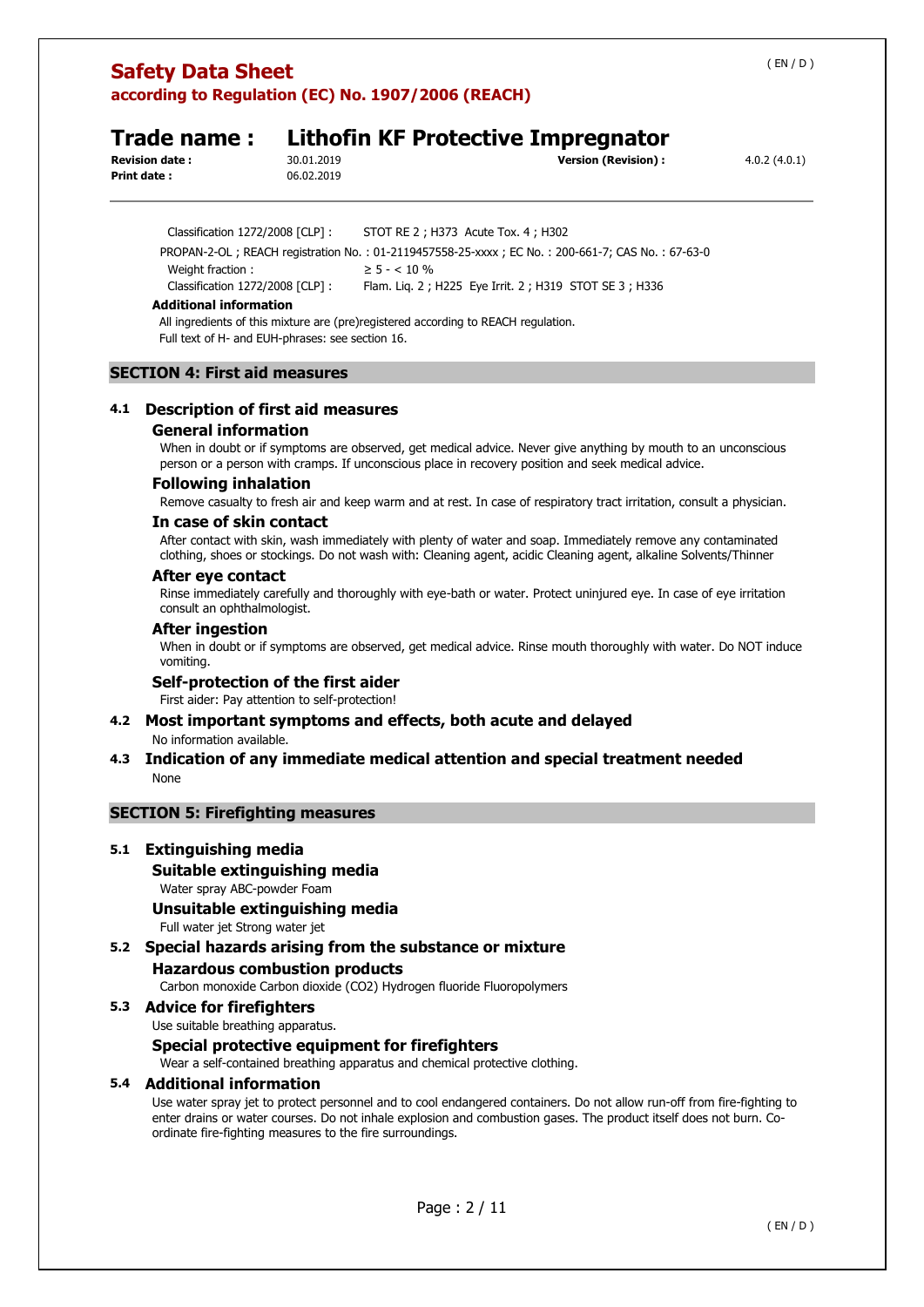## **Trade name : Lithofin KF Protective Impregnator**

**Print date :** 06.02.2019

**Revision date :** 30.01.2019 **Version (Revision) :** 4.0.2 (4.0.1)

Weight fraction :  $\geq 5 - < 10\%$ 

Classification 1272/2008 [CLP] : Flam. Liq. 2 ; H225 Eye Irrit. 2 ; H319 STOT SE 3 ; H336

### **Additional information**

All ingredients of this mixture are (pre)registered according to REACH regulation. Full text of H- and EUH-phrases: see section 16.

Classification 1272/2008 [CLP] : STOT RE 2 ; H373 Acute Tox. 4 ; H302

PROPAN-2-OL ; REACH registration No. : 01-2119457558-25-xxxx ; EC No. : 200-661-7; CAS No. : 67-63-0

### **SECTION 4: First aid measures**

## **4.1 Description of first aid measures**

## **General information**

When in doubt or if symptoms are observed, get medical advice. Never give anything by mouth to an unconscious person or a person with cramps. If unconscious place in recovery position and seek medical advice.

### **Following inhalation**

Remove casualty to fresh air and keep warm and at rest. In case of respiratory tract irritation, consult a physician.

## **In case of skin contact**

After contact with skin, wash immediately with plenty of water and soap. Immediately remove any contaminated clothing, shoes or stockings. Do not wash with: Cleaning agent, acidic Cleaning agent, alkaline Solvents/Thinner

## **After eye contact**

Rinse immediately carefully and thoroughly with eye-bath or water. Protect uninjured eye. In case of eye irritation consult an ophthalmologist.

### **After ingestion**

When in doubt or if symptoms are observed, get medical advice. Rinse mouth thoroughly with water. Do NOT induce vomiting.

### **Self-protection of the first aider**

First aider: Pay attention to self-protection!

## **4.2 Most important symptoms and effects, both acute and delayed**

No information available.

## **4.3 Indication of any immediate medical attention and special treatment needed**  None

## **SECTION 5: Firefighting measures**

## **5.1 Extinguishing media**

**Suitable extinguishing media** 

Water spray ABC-powder Foam

## **Unsuitable extinguishing media**

Full water jet Strong water jet

## **5.2 Special hazards arising from the substance or mixture Hazardous combustion products**  Carbon monoxide Carbon dioxide (CO2) Hydrogen fluoride Fluoropolymers

### **5.3 Advice for firefighters**

Use suitable breathing apparatus.

### **Special protective equipment for firefighters**

Wear a self-contained breathing apparatus and chemical protective clothing.

## **5.4 Additional information**

Use water spray jet to protect personnel and to cool endangered containers. Do not allow run-off from fire-fighting to enter drains or water courses. Do not inhale explosion and combustion gases. The product itself does not burn. Coordinate fire-fighting measures to the fire surroundings.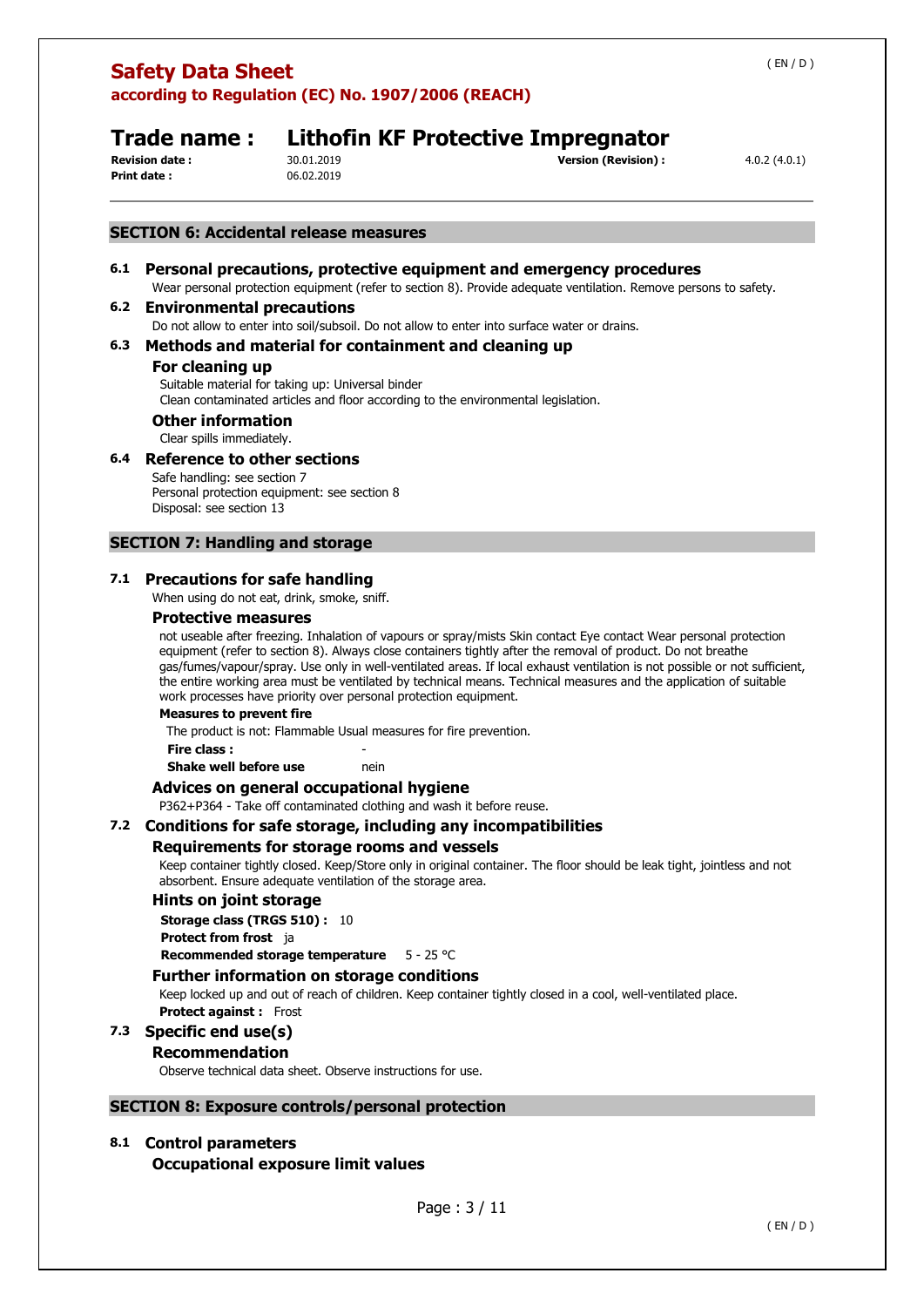**Print date :** 06.02.2019

**Revision date :** 30.01.2019 **Version (Revision) :** 4.0.2 (4.0.1)

**Trade name : Lithofin KF Protective Impregnator**

## **SECTION 6: Accidental release measures**

## **6.1 Personal precautions, protective equipment and emergency procedures**

Wear personal protection equipment (refer to section 8). Provide adequate ventilation. Remove persons to safety.

## **6.2 Environmental precautions**

Do not allow to enter into soil/subsoil. Do not allow to enter into surface water or drains.

## **6.3 Methods and material for containment and cleaning up**

## **For cleaning up**

Suitable material for taking up: Universal binder Clean contaminated articles and floor according to the environmental legislation.

## **Other information**

Clear spills immediately.

## **6.4 Reference to other sections**

Safe handling: see section 7 Personal protection equipment: see section 8 Disposal: see section 13

## **SECTION 7: Handling and storage**

## **7.1 Precautions for safe handling**

When using do not eat, drink, smoke, sniff.

## **Protective measures**

not useable after freezing. Inhalation of vapours or spray/mists Skin contact Eye contact Wear personal protection equipment (refer to section 8). Always close containers tightly after the removal of product. Do not breathe gas/fumes/vapour/spray. Use only in well-ventilated areas. If local exhaust ventilation is not possible or not sufficient, the entire working area must be ventilated by technical means. Technical measures and the application of suitable work processes have priority over personal protection equipment.

### **Measures to prevent fire**

The product is not: Flammable Usual measures for fire prevention.

### **Fire class :** -

**Shake well before use nein** 

## **Advices on general occupational hygiene**

P362+P364 - Take off contaminated clothing and wash it before reuse.

## **7.2 Conditions for safe storage, including any incompatibilities**

### **Requirements for storage rooms and vessels**

Keep container tightly closed. Keep/Store only in original container. The floor should be leak tight, jointless and not absorbent. Ensure adequate ventilation of the storage area.

### **Hints on joint storage**

**Storage class (TRGS 510) :** 10

**Protect from frost** ja

**Recommended storage temperature** 5 - 25 °C

## **Further information on storage conditions**

Keep locked up and out of reach of children. Keep container tightly closed in a cool, well-ventilated place. **Protect against :** Frost

## **7.3 Specific end use(s)**

### **Recommendation**

Observe technical data sheet. Observe instructions for use.

### **SECTION 8: Exposure controls/personal protection**

## **8.1 Control parameters**

**Occupational exposure limit values**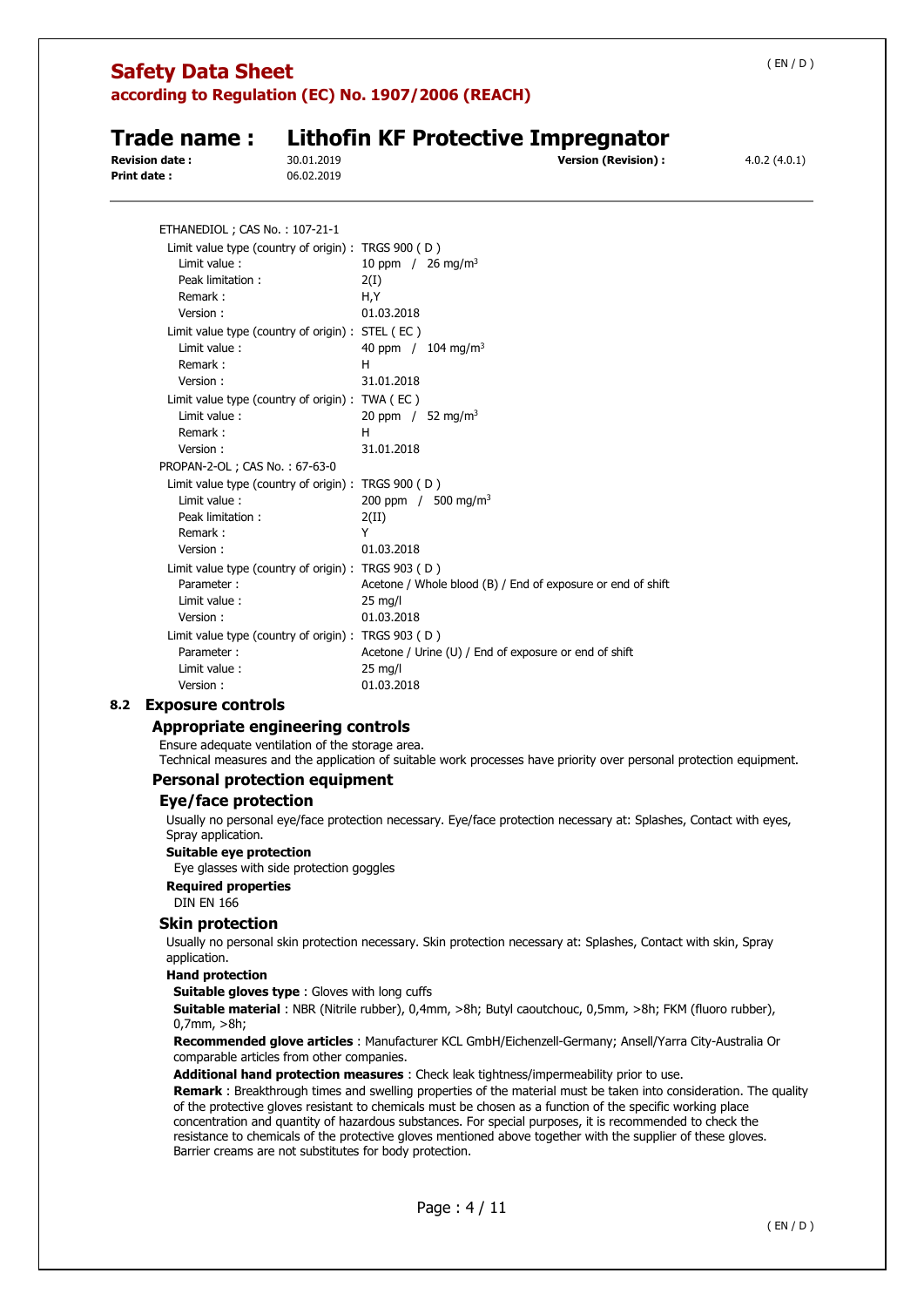**Trade name : Lithofin KF Protective Impregnator Revision date :** 30.01.2019 **Version (Revision) :** 4.0.2 (4.0.1) **Print date :** 06.02.2019 ETHANEDIOL ; CAS No. : 107-21-1 Limit value type (country of origin) : TRGS 900 ( D ) Limit value :  $10$  ppm  $/ 26$  mg/m<sup>3</sup> Peak limitation : 2(I) Remark : H, Y Version : 01.03.2018 Limit value type (country of origin) : STEL ( EC ) Limit value :  $40$  ppm  $/ 104$  mg/m<sup>3</sup> Remark : H Version : 31.01.2018 Limit value type (country of origin) : TWA ( EC ) Limit value :  $20$  ppm  $/$  52 mg/m<sup>3</sup> Remark **:** H Version : 31.01.2018 PROPAN-2-OL ; CAS No. : 67-63-0 Limit value type (country of origin) : TRGS 900 ( D ) Limit value : 200 ppm / 500 mg/m<sup>3</sup> Peak limitation : 2(II) Remark : Y Version : 01.03.2018 Limit value type (country of origin) : TRGS 903 ( D ) Parameter : Acetone / Whole blood (B) / End of exposure or end of shift Limit value : 25 mg/l Version : 01.03.2018 Limit value type (country of origin) : TRGS 903 ( D ) Parameter : Acetone / Urine (U) / End of exposure or end of shift Limit value : 25 mg/l Version : 01.03.2018

## **8.2 Exposure controls**

## **Appropriate engineering controls**

Ensure adequate ventilation of the storage area.

Technical measures and the application of suitable work processes have priority over personal protection equipment.

## **Personal protection equipment**

### **Eye/face protection**

Usually no personal eye/face protection necessary. Eye/face protection necessary at: Splashes, Contact with eyes, Spray application.

### **Suitable eye protection**

Eye glasses with side protection goggles

**Required properties** 

DIN EN 166

## **Skin protection**

Usually no personal skin protection necessary. Skin protection necessary at: Splashes, Contact with skin, Spray application.

## **Hand protection**

**Suitable gloves type** : Gloves with long cuffs

**Suitable material** : NBR (Nitrile rubber), 0,4mm, >8h; Butyl caoutchouc, 0,5mm, >8h; FKM (fluoro rubber), 0,7mm, >8h;

**Recommended glove articles** : Manufacturer KCL GmbH/Eichenzell-Germany; Ansell/Yarra City-Australia Or comparable articles from other companies.

**Additional hand protection measures** : Check leak tightness/impermeability prior to use.

**Remark** : Breakthrough times and swelling properties of the material must be taken into consideration. The quality of the protective gloves resistant to chemicals must be chosen as a function of the specific working place concentration and quantity of hazardous substances. For special purposes, it is recommended to check the resistance to chemicals of the protective gloves mentioned above together with the supplier of these gloves. Barrier creams are not substitutes for body protection.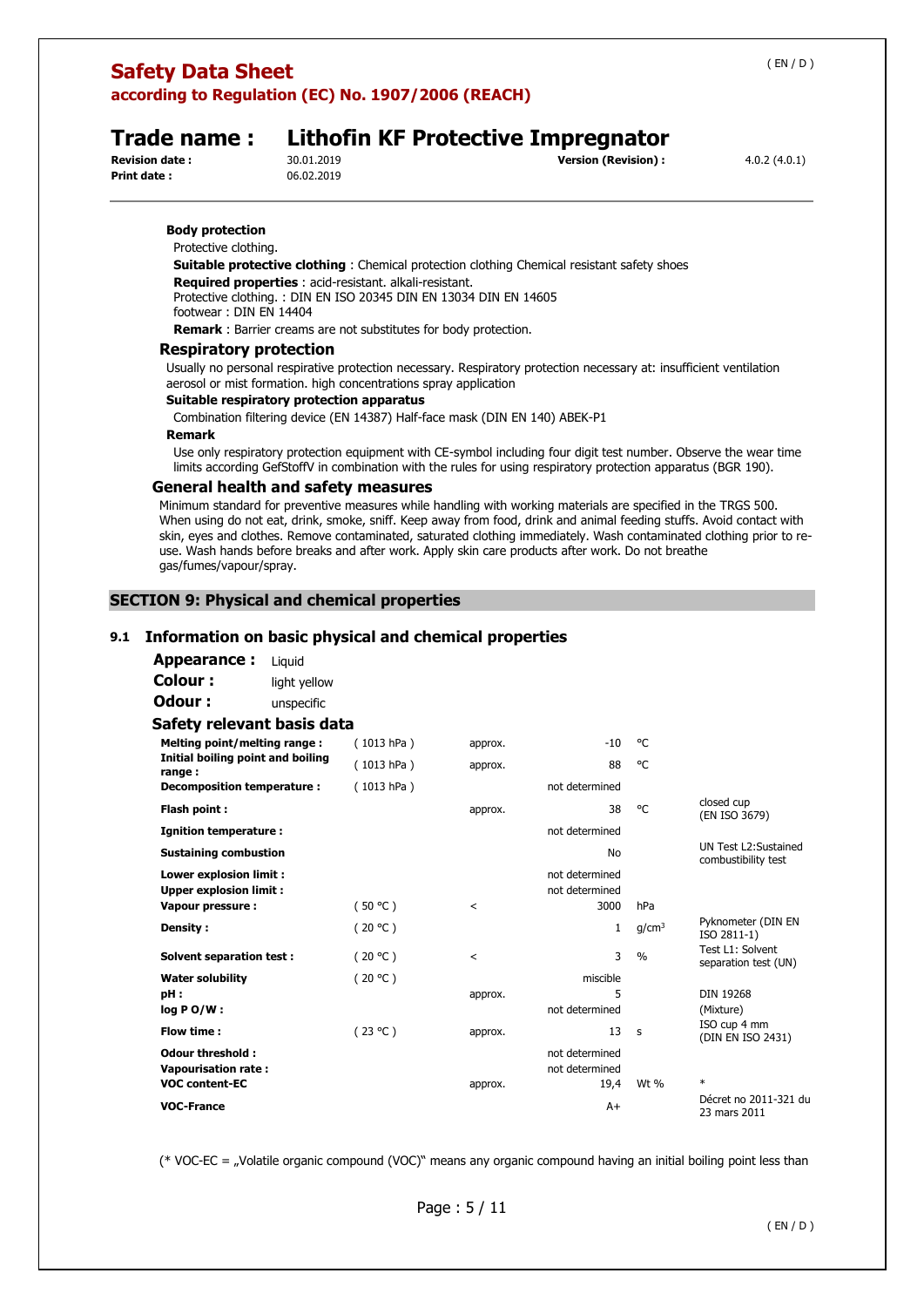## **Safety Data Sheet**

**according to Regulation (EC) No. 1907/2006 (REACH)** 

**Print date :** 06.02.2019

# **Trade name : Lithofin KF Protective Impregnator**<br>**Revision date :** 30.01.2019<br> **Servision** (Revision) :

**Revision (Revision) :**  $4.0.2 (4.0.1)$ 

## **Body protection**

Protective clothing.

**Suitable protective clothing** : Chemical protection clothing Chemical resistant safety shoes **Required properties** : acid-resistant. alkali-resistant. Protective clothing. : DIN EN ISO 20345 DIN EN 13034 DIN EN 14605 footwear : DIN EN 14404

**Remark** : Barrier creams are not substitutes for body protection.

### **Respiratory protection**

Usually no personal respirative protection necessary. Respiratory protection necessary at: insufficient ventilation aerosol or mist formation. high concentrations spray application

## **Suitable respiratory protection apparatus**

Combination filtering device (EN 14387) Half-face mask (DIN EN 140) ABEK-P1

### **Remark**

Use only respiratory protection equipment with CE-symbol including four digit test number. Observe the wear time limits according GefStoffV in combination with the rules for using respiratory protection apparatus (BGR 190).

### **General health and safety measures**

Minimum standard for preventive measures while handling with working materials are specified in the TRGS 500. When using do not eat, drink, smoke, sniff. Keep away from food, drink and animal feeding stuffs. Avoid contact with skin, eyes and clothes. Remove contaminated, saturated clothing immediately. Wash contaminated clothing prior to reuse. Wash hands before breaks and after work. Apply skin care products after work. Do not breathe gas/fumes/vapour/spray.

## **SECTION 9: Physical and chemical properties**

## **9.1 Information on basic physical and chemical properties**

| Appearance:                                              | Liguid       |            |         |                                  |                   |                                             |
|----------------------------------------------------------|--------------|------------|---------|----------------------------------|-------------------|---------------------------------------------|
| Colour:                                                  | light yellow |            |         |                                  |                   |                                             |
| Odour:                                                   | unspecific   |            |         |                                  |                   |                                             |
| Safety relevant basis data                               |              |            |         |                                  |                   |                                             |
| Melting point/melting range:                             |              | (1013 hPa) | approx. | $-10$                            | °€                |                                             |
| Initial boiling point and boiling<br>range:              |              | (1013 hPa) | approx. | 88                               | °€                |                                             |
| Decomposition temperature :                              |              | (1013 hPa) |         | not determined                   |                   |                                             |
| Flash point:                                             |              |            | approx. | 38                               | °C                | closed cup<br>(EN ISO 3679)                 |
| <b>Ignition temperature:</b>                             |              |            |         | not determined                   |                   |                                             |
| <b>Sustaining combustion</b>                             |              |            |         | No                               |                   | UN Test L2:Sustained<br>combustibility test |
| Lower explosion limit :<br><b>Upper explosion limit:</b> |              |            |         | not determined<br>not determined |                   |                                             |
| Vapour pressure :                                        |              | (50 °C)    | $\,<\,$ | 3000                             | hPa               |                                             |
| Density:                                                 |              | (20 °C)    |         | $\mathbf{1}$                     | q/cm <sup>3</sup> | Pyknometer (DIN EN<br>ISO 2811-1)           |
| <b>Solvent separation test:</b>                          |              | (20 °C)    | $\prec$ | 3                                | $\frac{0}{0}$     | Test L1: Solvent<br>separation test (UN)    |
| <b>Water solubility</b>                                  |              | (20 °C)    |         | miscible                         |                   |                                             |
| pH:                                                      |              |            | approx. | 5                                |                   | <b>DIN 19268</b>                            |
| $log PO/W$ :                                             |              |            |         | not determined                   |                   | (Mixture)<br>ISO cup 4 mm                   |
| Flow time:                                               |              | (23 °C)    | approx. | 13                               | s                 | (DIN EN ISO 2431)                           |
| <b>Odour threshold:</b><br><b>Vapourisation rate:</b>    |              |            |         | not determined<br>not determined |                   |                                             |
| <b>VOC content-EC</b>                                    |              |            | approx. | 19,4                             | Wt %              | $\ast$                                      |
| <b>VOC-France</b>                                        |              |            |         | $A+$                             |                   | Décret no 2011-321 du<br>23 mars 2011       |

(\* VOC-EC = "Volatile organic compound (VOC)" means any organic compound having an initial boiling point less than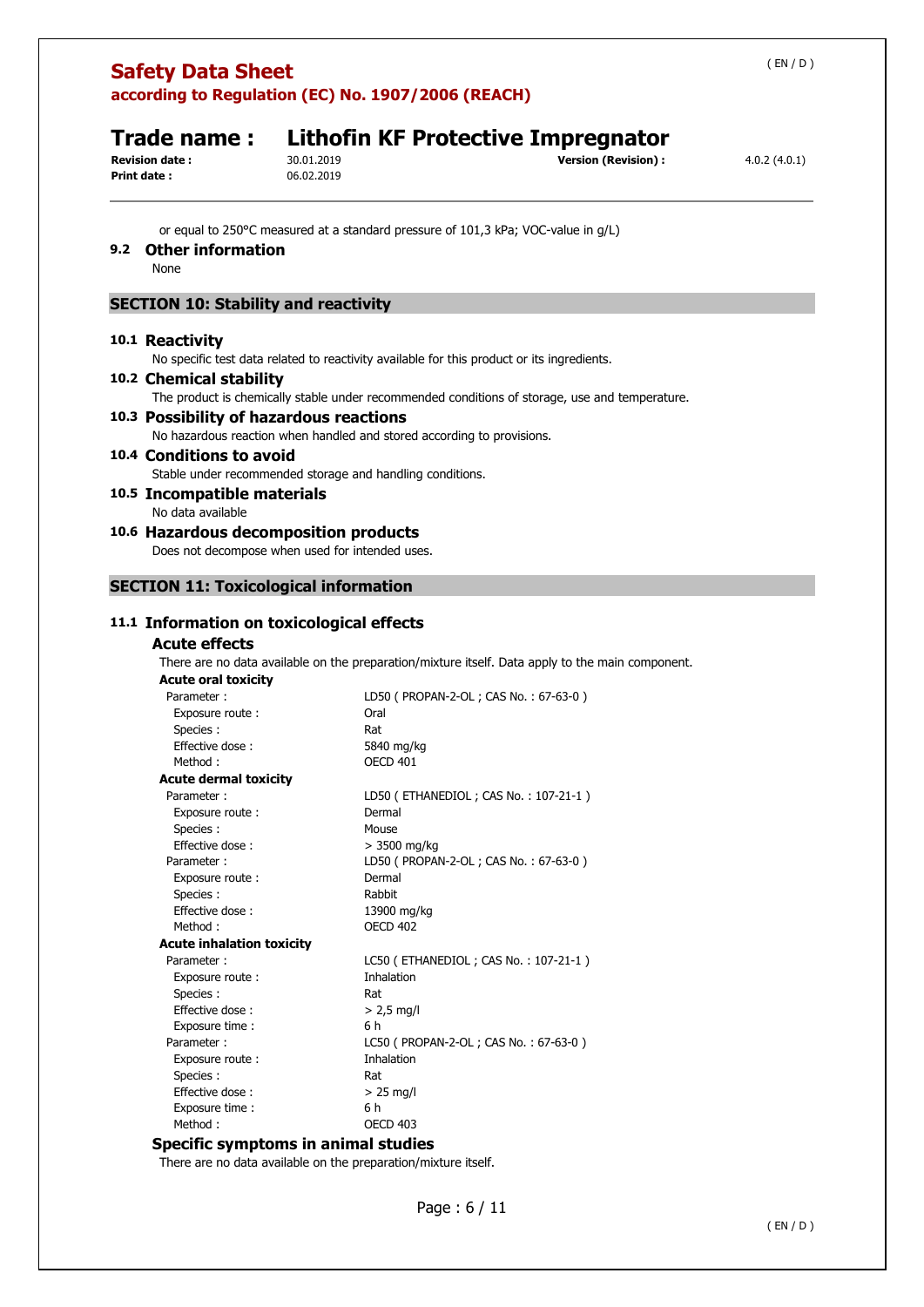# **Trade name : Lithofin KF Protective Impregnator**<br>**Revision date :** 30.01.2019<br> **Servision** (Revision) :

**Print date :** 06.02.2019

**Revision (Revision) : 4.0.2 (4.0.1) Version (Revision) :** 4.0.2 (4.0.1)

or equal to 250°C measured at a standard pressure of 101,3 kPa; VOC-value in g/L)

## **9.2 Other information**

None

## **SECTION 10: Stability and reactivity**

### **10.1 Reactivity**

No specific test data related to reactivity available for this product or its ingredients.

**10.2 Chemical stability**  The product is chemically stable under recommended conditions of storage, use and temperature. **10.3 Possibility of hazardous reactions**  No hazardous reaction when handled and stored according to provisions. **10.4 Conditions to avoid** 

Stable under recommended storage and handling conditions.

**10.5 Incompatible materials** 

No data available

**10.6 Hazardous decomposition products** 

Does not decompose when used for intended uses.

## **SECTION 11: Toxicological information**

## **11.1 Information on toxicological effects**

## **Acute effects**

There are no data available on the preparation/mixture itself. Data apply to the main component.

| <b>Acute oral toxicity</b>       |                                         |
|----------------------------------|-----------------------------------------|
| Parameter:                       | LD50 ( PROPAN-2-OL ; CAS No.: 67-63-0 ) |
| Exposure route:                  | Oral                                    |
| Species :                        | Rat                                     |
| Effective dose:                  | 5840 mg/kg                              |
| Method:                          | <b>OECD 401</b>                         |
| <b>Acute dermal toxicity</b>     |                                         |
| Parameter:                       | LD50 (ETHANEDIOL; CAS No.: 107-21-1)    |
| Exposure route:                  | Dermal                                  |
| Species :                        | Mouse                                   |
| Effective dose:                  | $>$ 3500 mg/kg                          |
| Parameter:                       | LD50 ( PROPAN-2-OL ; CAS No.: 67-63-0 ) |
| Exposure route:                  | Dermal                                  |
| Species :                        | Rabbit                                  |
| Effective dose:                  | 13900 mg/kg                             |
| Method:                          | <b>OECD 402</b>                         |
| <b>Acute inhalation toxicity</b> |                                         |
| Parameter:                       | LC50 (ETHANEDIOL; CAS No.: 107-21-1)    |
| Exposure route:                  | <b>Inhalation</b>                       |
| Species :                        | Rat                                     |
| Effective dose:                  | $> 2.5$ mg/l                            |
| Exposure time:                   | 6 h                                     |
| Parameter:                       | LC50 ( PROPAN-2-OL ; CAS No.: 67-63-0 ) |
| Exposure route:                  | <b>Inhalation</b>                       |
| Species:                         | Rat                                     |
| Effective dose:                  | $>$ 25 mg/l                             |
| Exposure time:                   | 6 h                                     |
| Method:                          | OECD 403                                |

### **Specific symptoms in animal studies**

There are no data available on the preparation/mixture itself.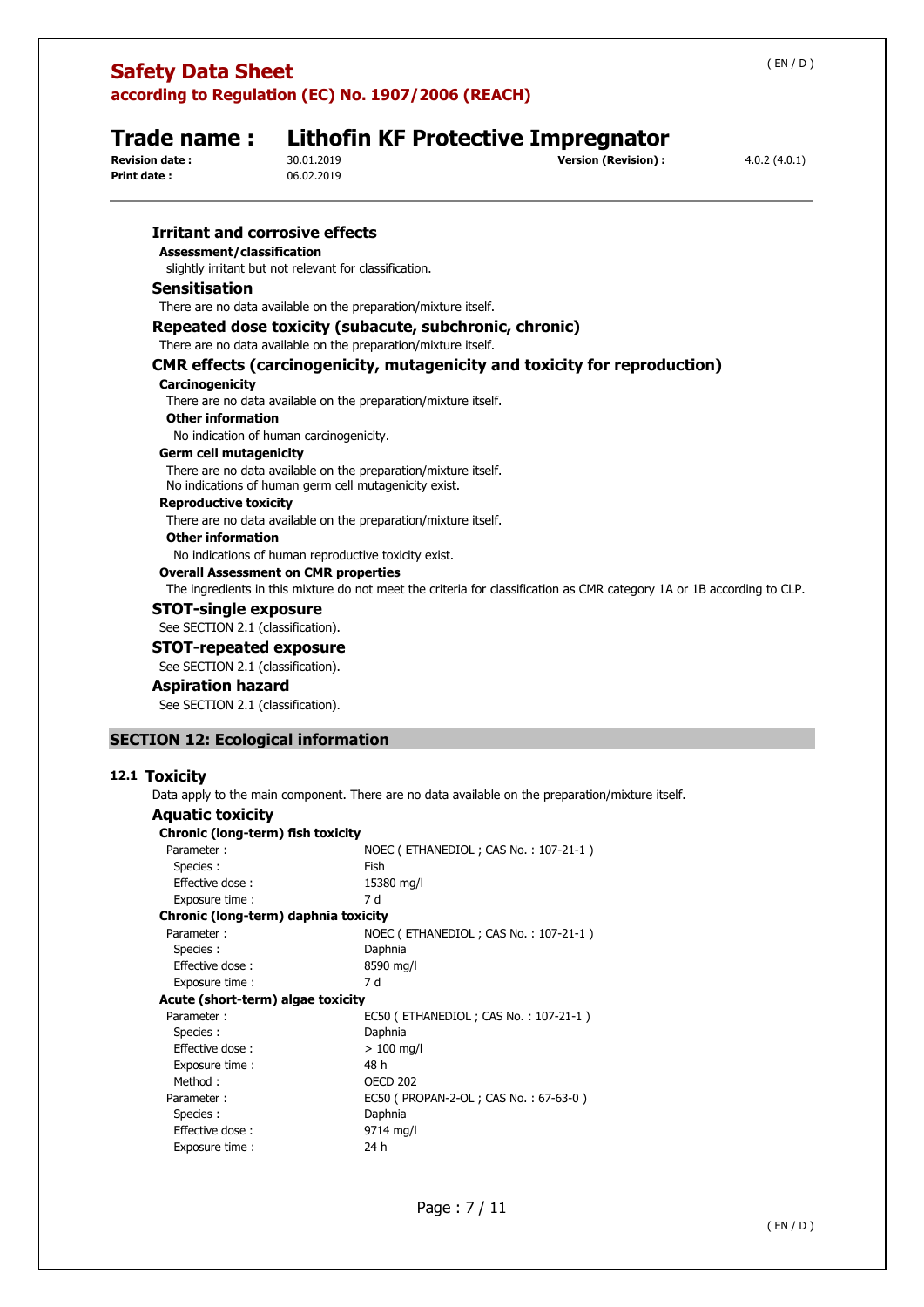| Trade name:<br><b>Revision date:</b><br><b>Print date:</b> | 30.01.2019<br>06.02.2019                                                                                                | <b>Lithofin KF Protective Impregnator</b><br><b>Version (Revision):</b>                                                | 4.0.2(4.0.1) |
|------------------------------------------------------------|-------------------------------------------------------------------------------------------------------------------------|------------------------------------------------------------------------------------------------------------------------|--------------|
| <b>Irritant and corrosive effects</b>                      |                                                                                                                         |                                                                                                                        |              |
| Assessment/classification                                  |                                                                                                                         |                                                                                                                        |              |
|                                                            | slightly irritant but not relevant for classification.                                                                  |                                                                                                                        |              |
| <b>Sensitisation</b>                                       |                                                                                                                         |                                                                                                                        |              |
|                                                            | There are no data available on the preparation/mixture itself.                                                          |                                                                                                                        |              |
|                                                            | Repeated dose toxicity (subacute, subchronic, chronic)                                                                  |                                                                                                                        |              |
|                                                            | There are no data available on the preparation/mixture itself.                                                          |                                                                                                                        |              |
|                                                            |                                                                                                                         | <b>CMR effects (carcinogenicity, mutagenicity and toxicity for reproduction)</b>                                       |              |
| Carcinogenicity                                            |                                                                                                                         |                                                                                                                        |              |
|                                                            | There are no data available on the preparation/mixture itself.                                                          |                                                                                                                        |              |
| <b>Other information</b>                                   |                                                                                                                         |                                                                                                                        |              |
|                                                            | No indication of human carcinogenicity.                                                                                 |                                                                                                                        |              |
| <b>Germ cell mutagenicity</b>                              |                                                                                                                         |                                                                                                                        |              |
|                                                            | There are no data available on the preparation/mixture itself.<br>No indications of human germ cell mutagenicity exist. |                                                                                                                        |              |
| <b>Reproductive toxicity</b>                               |                                                                                                                         |                                                                                                                        |              |
|                                                            | There are no data available on the preparation/mixture itself.                                                          |                                                                                                                        |              |
| <b>Other information</b>                                   |                                                                                                                         |                                                                                                                        |              |
|                                                            | No indications of human reproductive toxicity exist.                                                                    |                                                                                                                        |              |
|                                                            | <b>Overall Assessment on CMR properties</b>                                                                             |                                                                                                                        |              |
|                                                            |                                                                                                                         | The ingredients in this mixture do not meet the criteria for classification as CMR category 1A or 1B according to CLP. |              |
| <b>STOT-single exposure</b>                                |                                                                                                                         |                                                                                                                        |              |
| See SECTION 2.1 (classification).                          |                                                                                                                         |                                                                                                                        |              |
| <b>STOT-repeated exposure</b>                              |                                                                                                                         |                                                                                                                        |              |
| See SECTION 2.1 (classification).                          |                                                                                                                         |                                                                                                                        |              |
| <b>Aspiration hazard</b>                                   |                                                                                                                         |                                                                                                                        |              |

See SECTION 2.1 (classification).

## **SECTION 12: Ecological information**

## **12.1 Toxicity**

Data apply to the main component. There are no data available on the preparation/mixture itself.

| <b>Aquatic toxicity</b>              |                                          |
|--------------------------------------|------------------------------------------|
| Chronic (long-term) fish toxicity    |                                          |
| Parameter:                           | NOEC (ETHANEDIOL; CAS No.: 107-21-1)     |
| Species :                            | Fish                                     |
| Effective dose:                      | 15380 mg/l                               |
| Exposure time :                      | 7 d                                      |
| Chronic (long-term) daphnia toxicity |                                          |
| Parameter:                           | NOEC (ETHANEDIOL; CAS No.: 107-21-1)     |
| Species:                             | Daphnia                                  |
| Effective dose:                      | 8590 mg/l                                |
| Exposure time:                       | 7 d                                      |
| Acute (short-term) algae toxicity    |                                          |
| Parameter:                           | EC50 (ETHANEDIOL; CAS No.: 107-21-1)     |
| Species:                             | Daphnia                                  |
| Effective dose:                      | $>100 \; \text{mq/l}$                    |
| Exposure time :                      | 48 h                                     |
| Method:                              | <b>OECD 202</b>                          |
| Parameter:                           | EC50 ( PROPAN-2-OL ; CAS No. : 67-63-0 ) |
| Species :                            | Daphnia                                  |
| Effective dose:                      | 9714 mg/l                                |
| Exposure time:                       | 24 h                                     |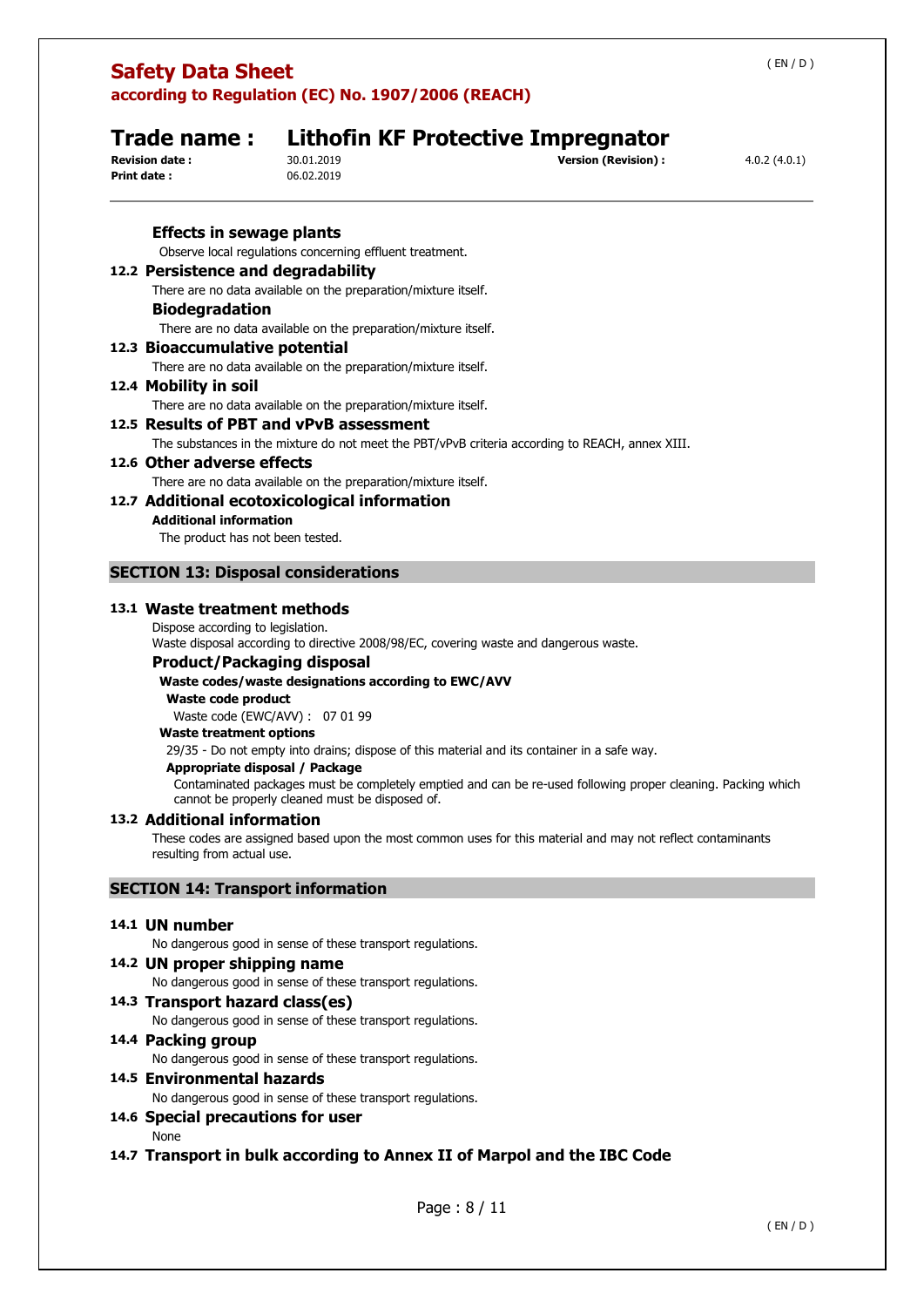## **Trade name : Lithofin KF Protective Impregnator**<br>**Revision date :** 30.01.2019<br> **Servision** (Revision) : **Revision (Revision) :**  $4.0.2 (4.0.1)$ **Print date :** 06.02.2019 **Effects in sewage plants**  Observe local regulations concerning effluent treatment. **12.2 Persistence and degradability**  There are no data available on the preparation/mixture itself. **Biodegradation**  There are no data available on the preparation/mixture itself. **12.3 Bioaccumulative potential**  There are no data available on the preparation/mixture itself. **12.4 Mobility in soil**  There are no data available on the preparation/mixture itself. **12.5 Results of PBT and vPvB assessment**  The substances in the mixture do not meet the PBT/vPvB criteria according to REACH, annex XIII. **12.6 Other adverse effects**  There are no data available on the preparation/mixture itself. **12.7 Additional ecotoxicological information Additional information**  The product has not been tested. **SECTION 13: Disposal considerations 13.1 Waste treatment methods**  Dispose according to legislation. Waste disposal according to directive 2008/98/EC, covering waste and dangerous waste. **Product/Packaging disposal Waste codes/waste designations according to EWC/AVV Waste code product**  Waste code (EWC/AVV) : 07 01 99 **Waste treatment options**  29/35 - Do not empty into drains; dispose of this material and its container in a safe way. **Appropriate disposal / Package**  Contaminated packages must be completely emptied and can be re-used following proper cleaning. Packing which cannot be properly cleaned must be disposed of. **13.2 Additional information**  These codes are assigned based upon the most common uses for this material and may not reflect contaminants resulting from actual use. **SECTION 14: Transport information 14.1 UN number**  No dangerous good in sense of these transport regulations. **14.2 UN proper shipping name**  No dangerous good in sense of these transport regulations. **14.3 Transport hazard class(es)**

No dangerous good in sense of these transport regulations.

## **14.4 Packing group**

No dangerous good in sense of these transport regulations.

## **14.5 Environmental hazards**

No dangerous good in sense of these transport regulations.

## **14.6 Special precautions for user**

None

## **14.7 Transport in bulk according to Annex II of Marpol and the IBC Code**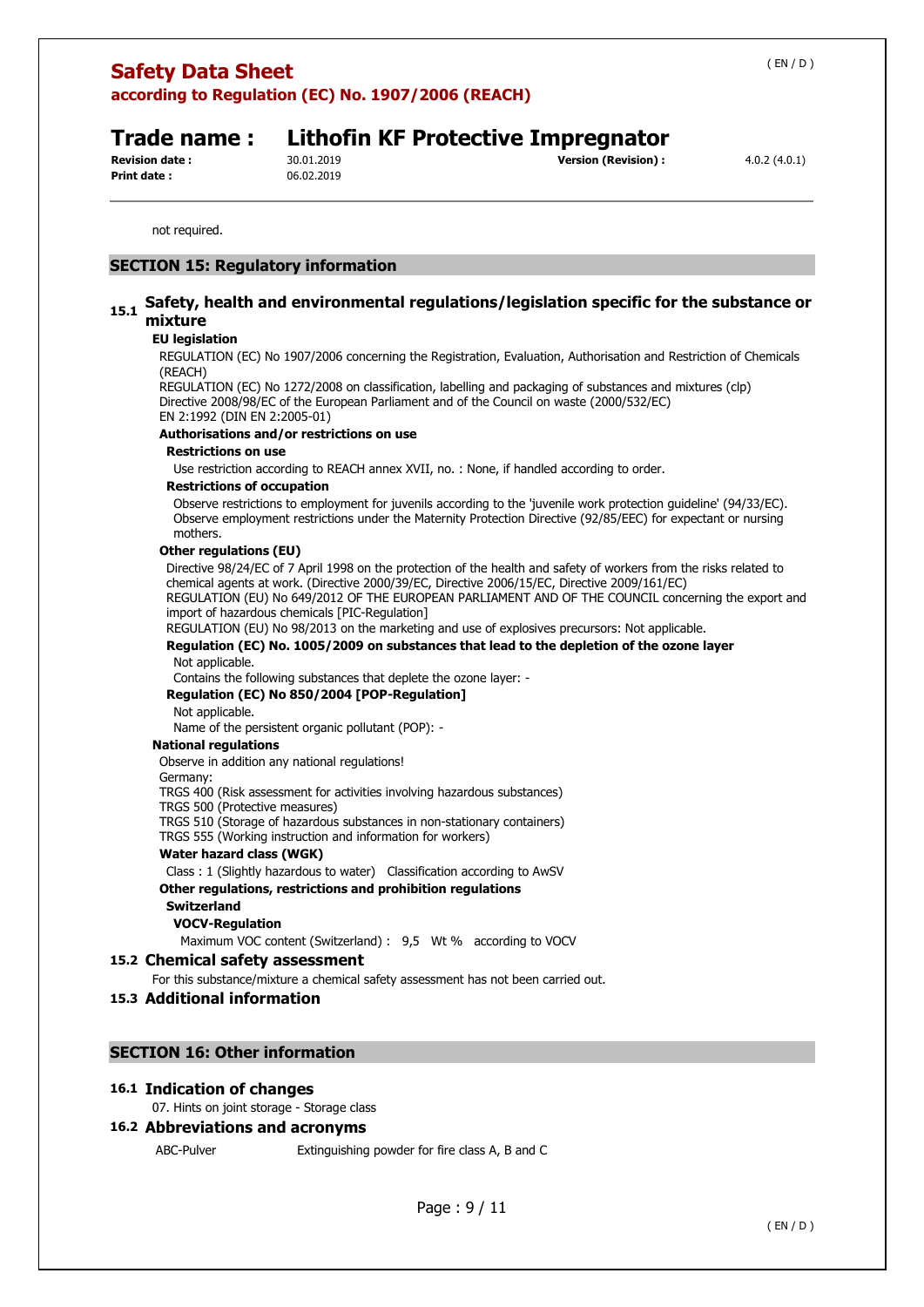**Print date :** 06.02.2019

## **Trade name : Lithofin KF Protective Impregnator**

**Revision date :** 30.01.2019 **Version (Revision) :** 4.0.2 (4.0.1)

not required.

## **SECTION 15: Regulatory information**

## **15.1 Safety, health and environmental regulations/legislation specific for the substance or mixture**

### **EU legislation**

REGULATION (EC) No 1907/2006 concerning the Registration, Evaluation, Authorisation and Restriction of Chemicals (REACH)

REGULATION (EC) No 1272/2008 on classification, labelling and packaging of substances and mixtures (clp) Directive 2008/98/EC of the European Parliament and of the Council on waste (2000/532/EC) EN 2:1992 (DIN EN 2:2005-01)

### **Authorisations and/or restrictions on use**

### **Restrictions on use**

Use restriction according to REACH annex XVII, no. : None, if handled according to order.

### **Restrictions of occupation**

Observe restrictions to employment for juvenils according to the 'juvenile work protection guideline' (94/33/EC). Observe employment restrictions under the Maternity Protection Directive (92/85/EEC) for expectant or nursing mothers.

### **Other regulations (EU)**

Directive 98/24/EC of 7 April 1998 on the protection of the health and safety of workers from the risks related to chemical agents at work. (Directive 2000/39/EC, Directive 2006/15/EC, Directive 2009/161/EC) REGULATION (EU) No 649/2012 OF THE EUROPEAN PARLIAMENT AND OF THE COUNCIL concerning the export and

import of hazardous chemicals [PIC-Regulation] REGULATION (EU) No 98/2013 on the marketing and use of explosives precursors: Not applicable.

**Regulation (EC) No. 1005/2009 on substances that lead to the depletion of the ozone layer** 

Not applicable.

Contains the following substances that deplete the ozone layer: -

### **Regulation (EC) No 850/2004 [POP-Regulation]**

Not applicable.

Name of the persistent organic pollutant (POP): -

### **National regulations**

Observe in addition any national regulations!

Germany:

TRGS 400 (Risk assessment for activities involving hazardous substances)

TRGS 500 (Protective measures)

TRGS 510 (Storage of hazardous substances in non-stationary containers)

TRGS 555 (Working instruction and information for workers)

### **Water hazard class (WGK)**

Class : 1 (Slightly hazardous to water) Classification according to AwSV

## **Other regulations, restrictions and prohibition regulations**

## **Switzerland**

## **VOCV-Regulation**

Maximum VOC content (Switzerland) : 9,5 Wt % according to VOCV

## **15.2 Chemical safety assessment**

For this substance/mixture a chemical safety assessment has not been carried out.

## **15.3 Additional information**

## **SECTION 16: Other information**

### **16.1 Indication of changes**

07. Hints on joint storage - Storage class

## **16.2 Abbreviations and acronyms**

ABC-Pulver Extinguishing powder for fire class A, B and C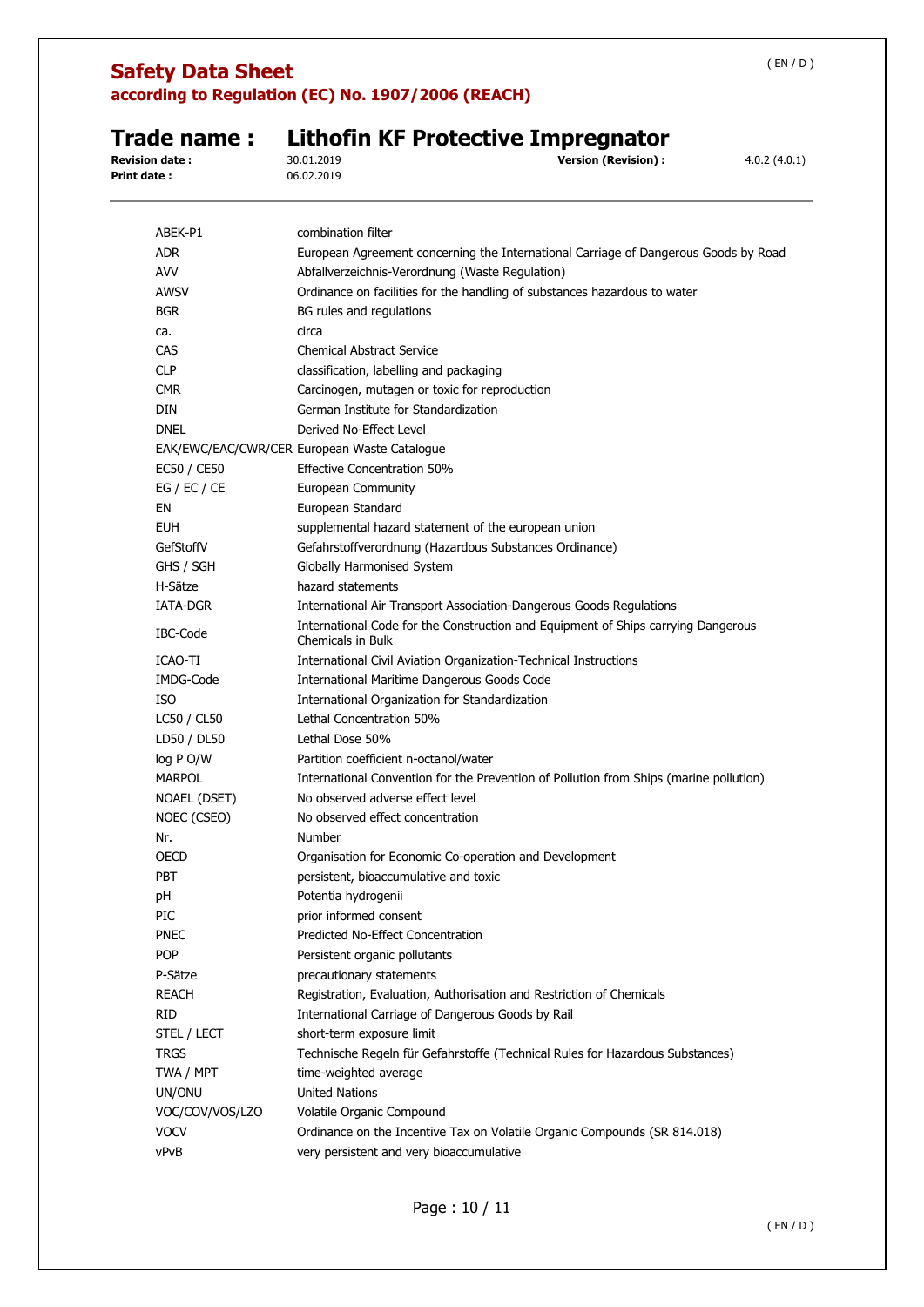# **Safety Data Sheet**

**according to Regulation (EC) No. 1907/2006 (REACH)** 

# **Trade name : Lithofin KF Protective Impregnator**<br>Revision date : 30.01.2019<br>Version (Revision) : **Revision date : 19.2.2019 Version (Revision) :** 4.0.2 (4.0.1)<br>06.02.2019

**Print date :** 

| <b>ADR</b><br>European Agreement concerning the International Carriage of Dangerous Goods by Road<br><b>AVV</b><br>Abfallverzeichnis-Verordnung (Waste Regulation)<br>Ordinance on facilities for the handling of substances hazardous to water<br>AWSV<br><b>BGR</b><br>BG rules and regulations<br>circa<br>ca.<br>CAS<br><b>Chemical Abstract Service</b><br><b>CLP</b><br>classification, labelling and packaging<br><b>CMR</b><br>Carcinogen, mutagen or toxic for reproduction<br>DIN<br>German Institute for Standardization<br><b>DNEL</b><br>Derived No-Effect Level<br>EAK/EWC/EAC/CWR/CER European Waste Catalogue<br>EC50 / CE50<br><b>Effective Concentration 50%</b><br>EG / EC / CE<br>European Community<br>European Standard<br>EN<br><b>EUH</b><br>supplemental hazard statement of the european union<br>GefStoffV<br>Gefahrstoffverordnung (Hazardous Substances Ordinance)<br>GHS / SGH<br>Globally Harmonised System<br>H-Sätze<br>hazard statements<br>IATA-DGR<br>International Air Transport Association-Dangerous Goods Regulations |
|---------------------------------------------------------------------------------------------------------------------------------------------------------------------------------------------------------------------------------------------------------------------------------------------------------------------------------------------------------------------------------------------------------------------------------------------------------------------------------------------------------------------------------------------------------------------------------------------------------------------------------------------------------------------------------------------------------------------------------------------------------------------------------------------------------------------------------------------------------------------------------------------------------------------------------------------------------------------------------------------------------------------------------------------------------------|
|                                                                                                                                                                                                                                                                                                                                                                                                                                                                                                                                                                                                                                                                                                                                                                                                                                                                                                                                                                                                                                                               |
|                                                                                                                                                                                                                                                                                                                                                                                                                                                                                                                                                                                                                                                                                                                                                                                                                                                                                                                                                                                                                                                               |
|                                                                                                                                                                                                                                                                                                                                                                                                                                                                                                                                                                                                                                                                                                                                                                                                                                                                                                                                                                                                                                                               |
|                                                                                                                                                                                                                                                                                                                                                                                                                                                                                                                                                                                                                                                                                                                                                                                                                                                                                                                                                                                                                                                               |
|                                                                                                                                                                                                                                                                                                                                                                                                                                                                                                                                                                                                                                                                                                                                                                                                                                                                                                                                                                                                                                                               |
|                                                                                                                                                                                                                                                                                                                                                                                                                                                                                                                                                                                                                                                                                                                                                                                                                                                                                                                                                                                                                                                               |
|                                                                                                                                                                                                                                                                                                                                                                                                                                                                                                                                                                                                                                                                                                                                                                                                                                                                                                                                                                                                                                                               |
|                                                                                                                                                                                                                                                                                                                                                                                                                                                                                                                                                                                                                                                                                                                                                                                                                                                                                                                                                                                                                                                               |
|                                                                                                                                                                                                                                                                                                                                                                                                                                                                                                                                                                                                                                                                                                                                                                                                                                                                                                                                                                                                                                                               |
|                                                                                                                                                                                                                                                                                                                                                                                                                                                                                                                                                                                                                                                                                                                                                                                                                                                                                                                                                                                                                                                               |
|                                                                                                                                                                                                                                                                                                                                                                                                                                                                                                                                                                                                                                                                                                                                                                                                                                                                                                                                                                                                                                                               |
|                                                                                                                                                                                                                                                                                                                                                                                                                                                                                                                                                                                                                                                                                                                                                                                                                                                                                                                                                                                                                                                               |
|                                                                                                                                                                                                                                                                                                                                                                                                                                                                                                                                                                                                                                                                                                                                                                                                                                                                                                                                                                                                                                                               |
|                                                                                                                                                                                                                                                                                                                                                                                                                                                                                                                                                                                                                                                                                                                                                                                                                                                                                                                                                                                                                                                               |
|                                                                                                                                                                                                                                                                                                                                                                                                                                                                                                                                                                                                                                                                                                                                                                                                                                                                                                                                                                                                                                                               |
|                                                                                                                                                                                                                                                                                                                                                                                                                                                                                                                                                                                                                                                                                                                                                                                                                                                                                                                                                                                                                                                               |
|                                                                                                                                                                                                                                                                                                                                                                                                                                                                                                                                                                                                                                                                                                                                                                                                                                                                                                                                                                                                                                                               |
|                                                                                                                                                                                                                                                                                                                                                                                                                                                                                                                                                                                                                                                                                                                                                                                                                                                                                                                                                                                                                                                               |
|                                                                                                                                                                                                                                                                                                                                                                                                                                                                                                                                                                                                                                                                                                                                                                                                                                                                                                                                                                                                                                                               |
| International Code for the Construction and Equipment of Ships carrying Dangerous<br>IBC-Code<br>Chemicals in Bulk                                                                                                                                                                                                                                                                                                                                                                                                                                                                                                                                                                                                                                                                                                                                                                                                                                                                                                                                            |
| ICAO-TI<br>International Civil Aviation Organization-Technical Instructions                                                                                                                                                                                                                                                                                                                                                                                                                                                                                                                                                                                                                                                                                                                                                                                                                                                                                                                                                                                   |
| IMDG-Code<br>International Maritime Dangerous Goods Code                                                                                                                                                                                                                                                                                                                                                                                                                                                                                                                                                                                                                                                                                                                                                                                                                                                                                                                                                                                                      |
| ISO<br>International Organization for Standardization                                                                                                                                                                                                                                                                                                                                                                                                                                                                                                                                                                                                                                                                                                                                                                                                                                                                                                                                                                                                         |
| Lethal Concentration 50%<br>LC50 / CL50                                                                                                                                                                                                                                                                                                                                                                                                                                                                                                                                                                                                                                                                                                                                                                                                                                                                                                                                                                                                                       |
| LD50 / DL50<br>Lethal Dose 50%                                                                                                                                                                                                                                                                                                                                                                                                                                                                                                                                                                                                                                                                                                                                                                                                                                                                                                                                                                                                                                |
| log P O/W<br>Partition coefficient n-octanol/water                                                                                                                                                                                                                                                                                                                                                                                                                                                                                                                                                                                                                                                                                                                                                                                                                                                                                                                                                                                                            |
| <b>MARPOL</b><br>International Convention for the Prevention of Pollution from Ships (marine pollution)                                                                                                                                                                                                                                                                                                                                                                                                                                                                                                                                                                                                                                                                                                                                                                                                                                                                                                                                                       |
| No observed adverse effect level<br>NOAEL (DSET)                                                                                                                                                                                                                                                                                                                                                                                                                                                                                                                                                                                                                                                                                                                                                                                                                                                                                                                                                                                                              |
| No observed effect concentration<br>NOEC (CSEO)                                                                                                                                                                                                                                                                                                                                                                                                                                                                                                                                                                                                                                                                                                                                                                                                                                                                                                                                                                                                               |
| Number<br>Nr.                                                                                                                                                                                                                                                                                                                                                                                                                                                                                                                                                                                                                                                                                                                                                                                                                                                                                                                                                                                                                                                 |
| OECD<br>Organisation for Economic Co-operation and Development                                                                                                                                                                                                                                                                                                                                                                                                                                                                                                                                                                                                                                                                                                                                                                                                                                                                                                                                                                                                |
| <b>PBT</b><br>persistent, bioaccumulative and toxic                                                                                                                                                                                                                                                                                                                                                                                                                                                                                                                                                                                                                                                                                                                                                                                                                                                                                                                                                                                                           |
| Potentia hydrogenii<br>рH                                                                                                                                                                                                                                                                                                                                                                                                                                                                                                                                                                                                                                                                                                                                                                                                                                                                                                                                                                                                                                     |
| prior informed consent<br>PIC                                                                                                                                                                                                                                                                                                                                                                                                                                                                                                                                                                                                                                                                                                                                                                                                                                                                                                                                                                                                                                 |
| Predicted No-Effect Concentration<br><b>PNEC</b>                                                                                                                                                                                                                                                                                                                                                                                                                                                                                                                                                                                                                                                                                                                                                                                                                                                                                                                                                                                                              |
| <b>POP</b><br>Persistent organic pollutants                                                                                                                                                                                                                                                                                                                                                                                                                                                                                                                                                                                                                                                                                                                                                                                                                                                                                                                                                                                                                   |
| P-Sätze<br>precautionary statements                                                                                                                                                                                                                                                                                                                                                                                                                                                                                                                                                                                                                                                                                                                                                                                                                                                                                                                                                                                                                           |
| <b>REACH</b><br>Registration, Evaluation, Authorisation and Restriction of Chemicals                                                                                                                                                                                                                                                                                                                                                                                                                                                                                                                                                                                                                                                                                                                                                                                                                                                                                                                                                                          |
| <b>RID</b><br>International Carriage of Dangerous Goods by Rail                                                                                                                                                                                                                                                                                                                                                                                                                                                                                                                                                                                                                                                                                                                                                                                                                                                                                                                                                                                               |
| short-term exposure limit<br>STEL / LECT                                                                                                                                                                                                                                                                                                                                                                                                                                                                                                                                                                                                                                                                                                                                                                                                                                                                                                                                                                                                                      |
| <b>TRGS</b><br>Technische Regeln für Gefahrstoffe (Technical Rules for Hazardous Substances)                                                                                                                                                                                                                                                                                                                                                                                                                                                                                                                                                                                                                                                                                                                                                                                                                                                                                                                                                                  |
| TWA / MPT<br>time-weighted average                                                                                                                                                                                                                                                                                                                                                                                                                                                                                                                                                                                                                                                                                                                                                                                                                                                                                                                                                                                                                            |
| <b>United Nations</b><br>UN/ONU                                                                                                                                                                                                                                                                                                                                                                                                                                                                                                                                                                                                                                                                                                                                                                                                                                                                                                                                                                                                                               |
| VOC/COV/VOS/LZO<br>Volatile Organic Compound                                                                                                                                                                                                                                                                                                                                                                                                                                                                                                                                                                                                                                                                                                                                                                                                                                                                                                                                                                                                                  |
| <b>VOCV</b><br>Ordinance on the Incentive Tax on Volatile Organic Compounds (SR 814.018)                                                                                                                                                                                                                                                                                                                                                                                                                                                                                                                                                                                                                                                                                                                                                                                                                                                                                                                                                                      |
| vPvB<br>very persistent and very bioaccumulative                                                                                                                                                                                                                                                                                                                                                                                                                                                                                                                                                                                                                                                                                                                                                                                                                                                                                                                                                                                                              |